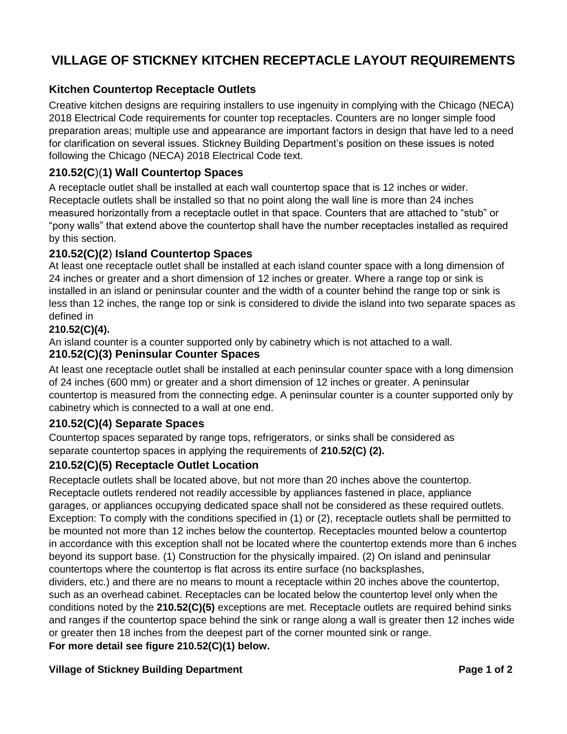# **VILLAGE OF STICKNEY KITCHEN RECEPTACLE LAYOUT REQUIREMENTS**

## **Kitchen Countertop Receptacle Outlets**

Creative kitchen designs are requiring installers to use ingenuity in complying with the Chicago (NECA) 2018 Electrical Code requirements for counter top receptacles. Counters are no longer simple food preparation areas; multiple use and appearance are important factors in design that have led to a need for clarification on several issues. Stickney Building Department's position on these issues is noted following the Chicago (NECA) 2018 Electrical Code text.

## **210.52(C**)(**1) Wall Countertop Spaces**

A receptacle outlet shall be installed at each wall countertop space that is 12 inches or wider. Receptacle outlets shall be installed so that no point along the wall line is more than 24 inches measured horizontally from a receptacle outlet in that space. Counters that are attached to "stub" or "pony walls" that extend above the countertop shall have the number receptacles installed as required by this section.

## **210.52(C)(2**) **Island Countertop Spaces**

At least one receptacle outlet shall be installed at each island counter space with a long dimension of 24 inches or greater and a short dimension of 12 inches or greater. Where a range top or sink is installed in an island or peninsular counter and the width of a counter behind the range top or sink is less than 12 inches, the range top or sink is considered to divide the island into two separate spaces as defined in

#### **210.52(C)(4).**

An island counter is a counter supported only by cabinetry which is not attached to a wall.

#### **210.52(C)(3) Peninsular Counter Spaces**

At least one receptacle outlet shall be installed at each peninsular counter space with a long dimension of 24 inches (600 mm) or greater and a short dimension of 12 inches or greater. A peninsular countertop is measured from the connecting edge. A peninsular counter is a counter supported only by cabinetry which is connected to a wall at one end.

## **210.52(C)(4) Separate Spaces**

Countertop spaces separated by range tops, refrigerators, or sinks shall be considered as separate countertop spaces in applying the requirements of **210.52(C) (2).**

## **210.52(C)(5) Receptacle Outlet Location**

Receptacle outlets shall be located above, but not more than 20 inches above the countertop. Receptacle outlets rendered not readily accessible by appliances fastened in place, appliance garages, or appliances occupying dedicated space shall not be considered as these required outlets. Exception: To comply with the conditions specified in (1) or (2), receptacle outlets shall be permitted to be mounted not more than 12 inches below the countertop. Receptacles mounted below a countertop in accordance with this exception shall not be located where the countertop extends more than 6 inches beyond its support base. (1) Construction for the physically impaired. (2) On island and peninsular countertops where the countertop is flat across its entire surface (no backsplashes,

dividers, etc.) and there are no means to mount a receptacle within 20 inches above the countertop, such as an overhead cabinet. Receptacles can be located below the countertop level only when the conditions noted by the **210.52(C)(5)** exceptions are met. Receptacle outlets are required behind sinks and ranges if the countertop space behind the sink or range along a wall is greater then 12 inches wide or greater then 18 inches from the deepest part of the corner mounted sink or range. **For more detail see figure 210.52(C)(1) below.**

#### **Village of Stickney Building Department Page 1 of 2**